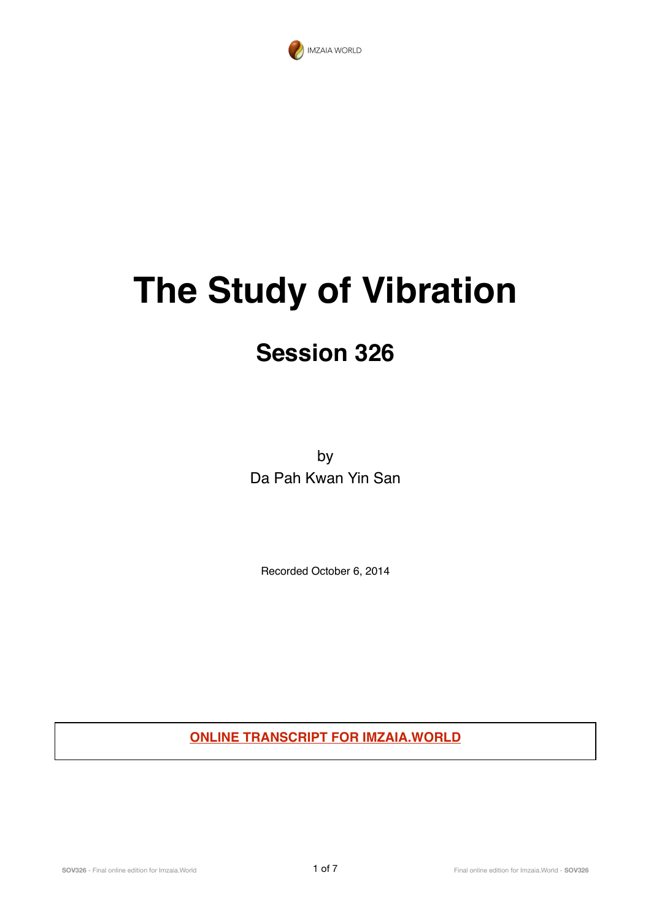

## **The Study of Vibration**

## **Session 326**

by Da Pah Kwan Yin San

Recorded October 6, 2014

**ONLINE TRANSCRIPT FOR IMZAIA.WORLD**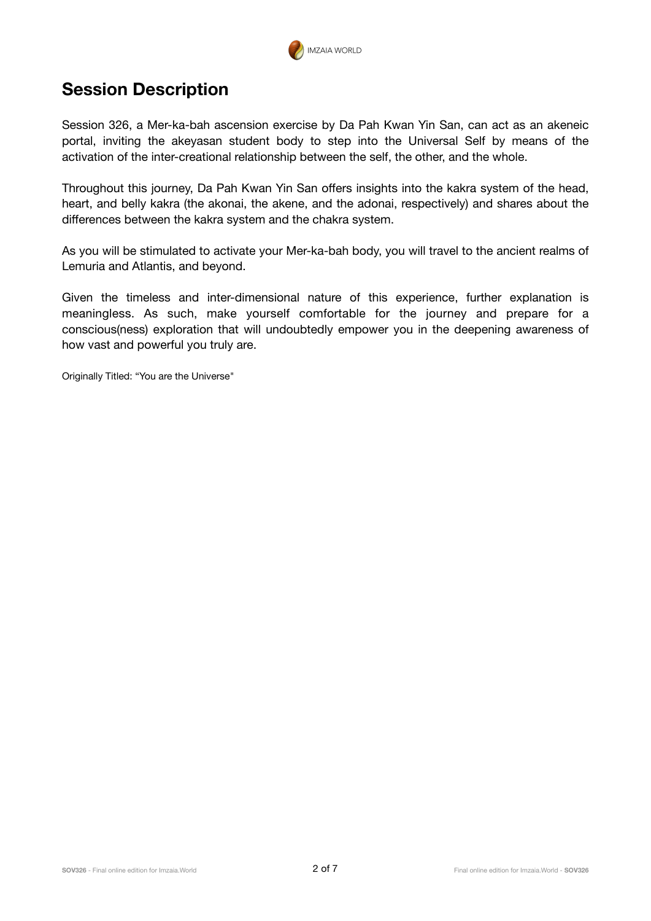

## **Session Description**

Session 326, a Mer-ka-bah ascension exercise by Da Pah Kwan Yin San, can act as an akeneic portal, inviting the akeyasan student body to step into the Universal Self by means of the activation of the inter-creational relationship between the self, the other, and the whole.

Throughout this journey, Da Pah Kwan Yin San offers insights into the kakra system of the head, heart, and belly kakra (the akonai, the akene, and the adonai, respectively) and shares about the differences between the kakra system and the chakra system.

As you will be stimulated to activate your Mer-ka-bah body, you will travel to the ancient realms of Lemuria and Atlantis, and beyond.

Given the timeless and inter-dimensional nature of this experience, further explanation is meaningless. As such, make yourself comfortable for the journey and prepare for a conscious(ness) exploration that will undoubtedly empower you in the deepening awareness of how vast and powerful you truly are.

Originally Titled: "You are the Universe"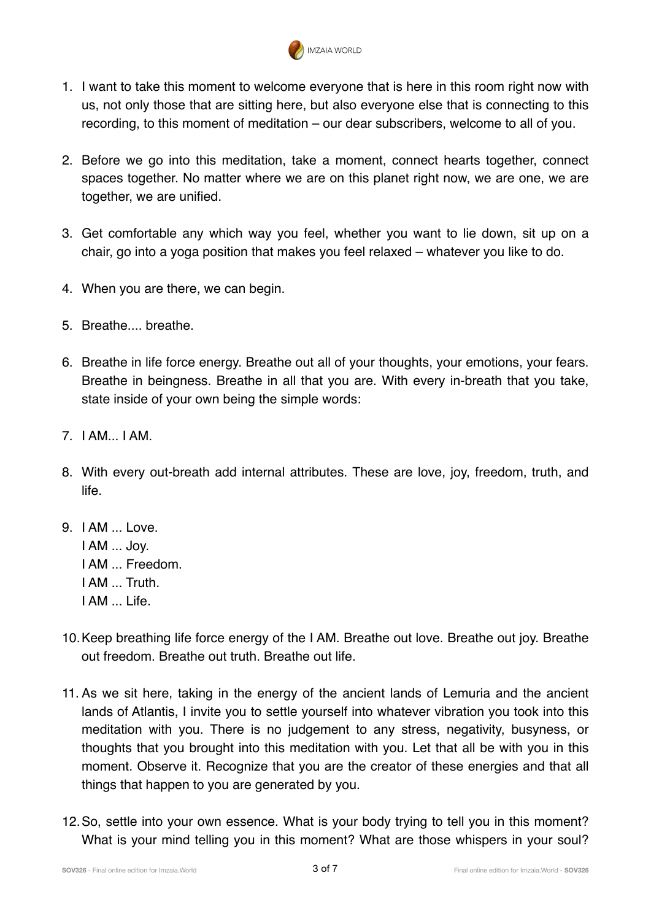

- 1. I want to take this moment to welcome everyone that is here in this room right now with us, not only those that are sitting here, but also everyone else that is connecting to this recording, to this moment of meditation – our dear subscribers, welcome to all of you.
- 2. Before we go into this meditation, take a moment, connect hearts together, connect spaces together. No matter where we are on this planet right now, we are one, we are together, we are unified.
- 3. Get comfortable any which way you feel, whether you want to lie down, sit up on a chair, go into a yoga position that makes you feel relaxed – whatever you like to do.
- 4. When you are there, we can begin.
- 5. Breathe.... breathe.
- 6. Breathe in life force energy. Breathe out all of your thoughts, your emotions, your fears. Breathe in beingness. Breathe in all that you are. With every in-breath that you take, state inside of your own being the simple words:
- 7. I AM... I AM.
- 8. With every out-breath add internal attributes. These are love, joy, freedom, truth, and life.
- 9. I AM ... Love. I AM ... Joy. I AM ... Freedom. I AM Truth I AM ... Life.
- 10.Keep breathing life force energy of the I AM. Breathe out love. Breathe out joy. Breathe out freedom. Breathe out truth. Breathe out life.
- 11. As we sit here, taking in the energy of the ancient lands of Lemuria and the ancient lands of Atlantis, I invite you to settle yourself into whatever vibration you took into this meditation with you. There is no judgement to any stress, negativity, busyness, or thoughts that you brought into this meditation with you. Let that all be with you in this moment. Observe it. Recognize that you are the creator of these energies and that all things that happen to you are generated by you.
- 12.So, settle into your own essence. What is your body trying to tell you in this moment? What is your mind telling you in this moment? What are those whispers in your soul?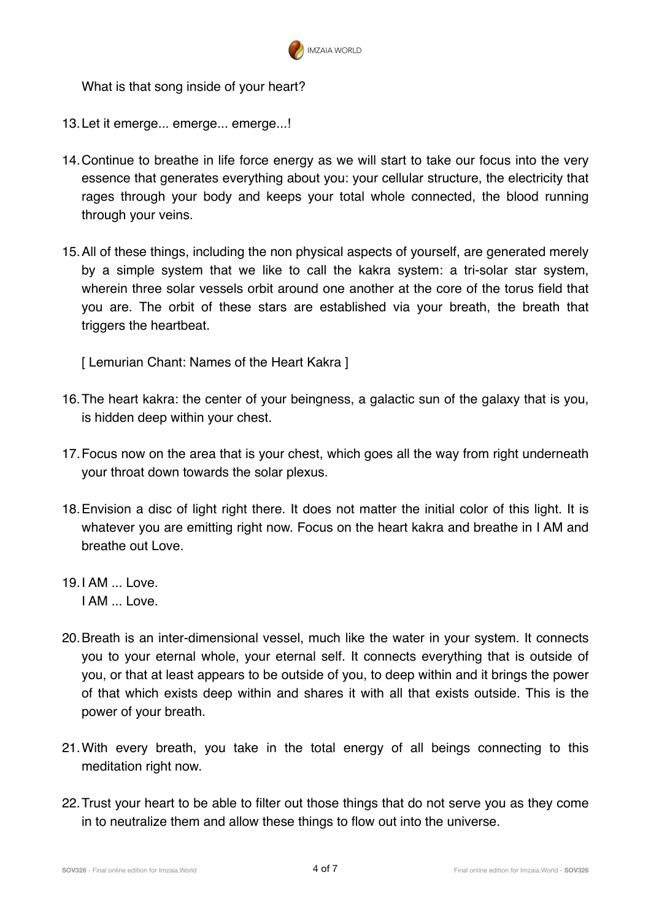

What is that song inside of your heart?

- 13.Let it emerge... emerge... emerge...!
- 14.Continue to breathe in life force energy as we will start to take our focus into the very essence that generates everything about you: your cellular structure, the electricity that rages through your body and keeps your total whole connected, the blood running through your veins.
- 15.All of these things, including the non physical aspects of yourself, are generated merely by a simple system that we like to call the kakra system: a tri-solar star system, wherein three solar vessels orbit around one another at the core of the torus field that you are. The orbit of these stars are established via your breath, the breath that triggers the heartbeat.

[ Lemurian Chant: Names of the Heart Kakra ]

- 16.The heart kakra: the center of your beingness, a galactic sun of the galaxy that is you, is hidden deep within your chest.
- 17.Focus now on the area that is your chest, which goes all the way from right underneath your throat down towards the solar plexus.
- 18.Envision a disc of light right there. It does not matter the initial color of this light. It is whatever you are emitting right now. Focus on the heart kakra and breathe in I AM and breathe out Love.
- $19.1$  AM  $.1$  ove. I AM ... Love.
- 20.Breath is an inter-dimensional vessel, much like the water in your system. It connects you to your eternal whole, your eternal self. It connects everything that is outside of you, or that at least appears to be outside of you, to deep within and it brings the power of that which exists deep within and shares it with all that exists outside. This is the power of your breath.
- 21.With every breath, you take in the total energy of all beings connecting to this meditation right now.
- 22.Trust your heart to be able to filter out those things that do not serve you as they come in to neutralize them and allow these things to flow out into the universe.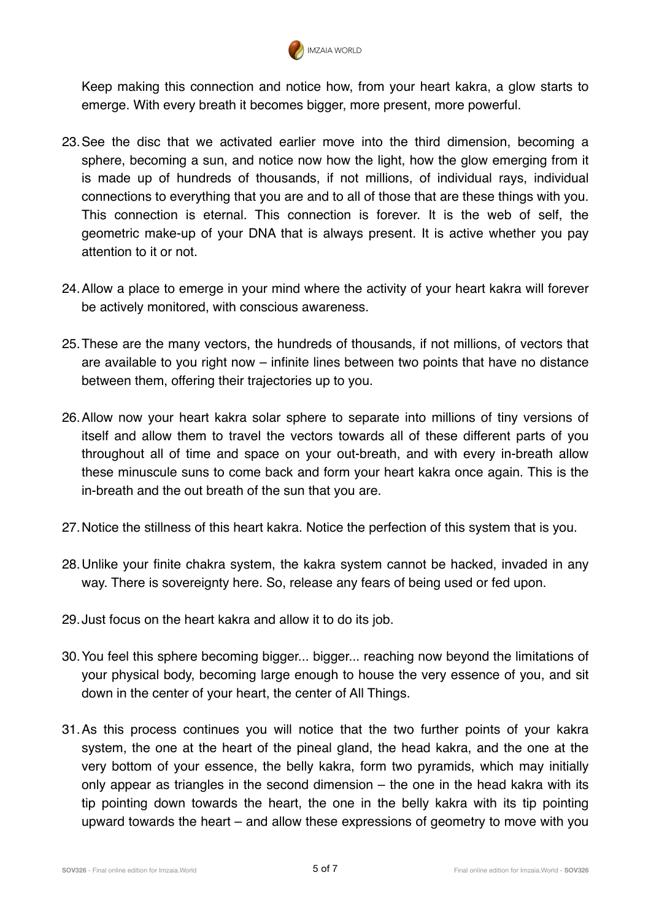

Keep making this connection and notice how, from your heart kakra, a glow starts to emerge. With every breath it becomes bigger, more present, more powerful.

- 23.See the disc that we activated earlier move into the third dimension, becoming a sphere, becoming a sun, and notice now how the light, how the glow emerging from it is made up of hundreds of thousands, if not millions, of individual rays, individual connections to everything that you are and to all of those that are these things with you. This connection is eternal. This connection is forever. It is the web of self, the geometric make-up of your DNA that is always present. It is active whether you pay attention to it or not.
- 24.Allow a place to emerge in your mind where the activity of your heart kakra will forever be actively monitored, with conscious awareness.
- 25.These are the many vectors, the hundreds of thousands, if not millions, of vectors that are available to you right now – infinite lines between two points that have no distance between them, offering their trajectories up to you.
- 26.Allow now your heart kakra solar sphere to separate into millions of tiny versions of itself and allow them to travel the vectors towards all of these different parts of you throughout all of time and space on your out-breath, and with every in-breath allow these minuscule suns to come back and form your heart kakra once again. This is the in-breath and the out breath of the sun that you are.
- 27.Notice the stillness of this heart kakra. Notice the perfection of this system that is you.
- 28.Unlike your finite chakra system, the kakra system cannot be hacked, invaded in any way. There is sovereignty here. So, release any fears of being used or fed upon.
- 29.Just focus on the heart kakra and allow it to do its job.
- 30.You feel this sphere becoming bigger... bigger... reaching now beyond the limitations of your physical body, becoming large enough to house the very essence of you, and sit down in the center of your heart, the center of All Things.
- 31.As this process continues you will notice that the two further points of your kakra system, the one at the heart of the pineal gland, the head kakra, and the one at the very bottom of your essence, the belly kakra, form two pyramids, which may initially only appear as triangles in the second dimension – the one in the head kakra with its tip pointing down towards the heart, the one in the belly kakra with its tip pointing upward towards the heart – and allow these expressions of geometry to move with you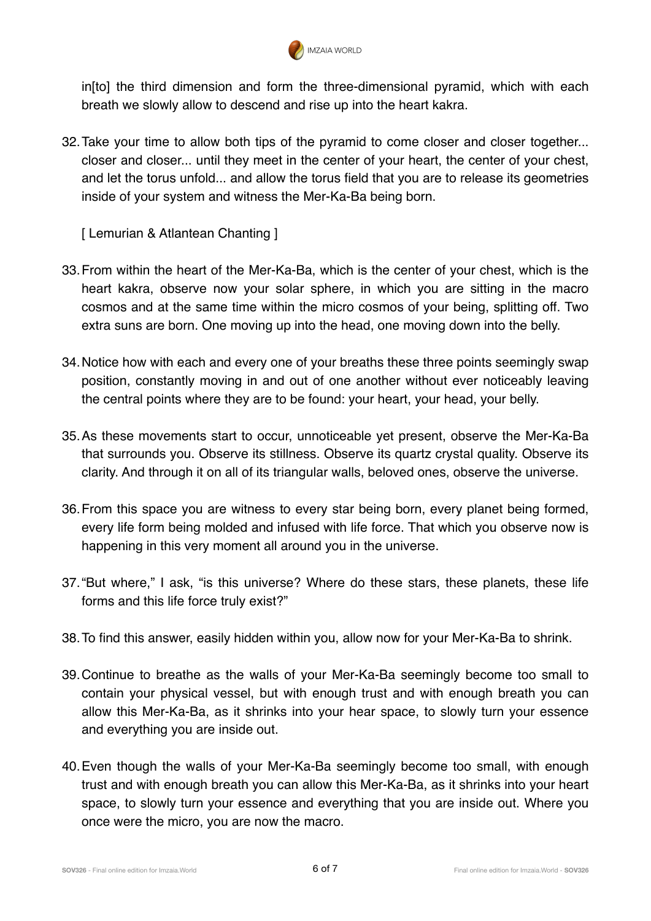

in[to] the third dimension and form the three-dimensional pyramid, which with each breath we slowly allow to descend and rise up into the heart kakra.

32.Take your time to allow both tips of the pyramid to come closer and closer together... closer and closer... until they meet in the center of your heart, the center of your chest, and let the torus unfold... and allow the torus field that you are to release its geometries inside of your system and witness the Mer-Ka-Ba being born.

[ Lemurian & Atlantean Chanting ]

- 33.From within the heart of the Mer-Ka-Ba, which is the center of your chest, which is the heart kakra, observe now your solar sphere, in which you are sitting in the macro cosmos and at the same time within the micro cosmos of your being, splitting off. Two extra suns are born. One moving up into the head, one moving down into the belly.
- 34.Notice how with each and every one of your breaths these three points seemingly swap position, constantly moving in and out of one another without ever noticeably leaving the central points where they are to be found: your heart, your head, your belly.
- 35.As these movements start to occur, unnoticeable yet present, observe the Mer-Ka-Ba that surrounds you. Observe its stillness. Observe its quartz crystal quality. Observe its clarity. And through it on all of its triangular walls, beloved ones, observe the universe.
- 36.From this space you are witness to every star being born, every planet being formed, every life form being molded and infused with life force. That which you observe now is happening in this very moment all around you in the universe.
- 37."But where," I ask, "is this universe? Where do these stars, these planets, these life forms and this life force truly exist?"
- 38.To find this answer, easily hidden within you, allow now for your Mer-Ka-Ba to shrink.
- 39.Continue to breathe as the walls of your Mer-Ka-Ba seemingly become too small to contain your physical vessel, but with enough trust and with enough breath you can allow this Mer-Ka-Ba, as it shrinks into your hear space, to slowly turn your essence and everything you are inside out.
- 40.Even though the walls of your Mer-Ka-Ba seemingly become too small, with enough trust and with enough breath you can allow this Mer-Ka-Ba, as it shrinks into your heart space, to slowly turn your essence and everything that you are inside out. Where you once were the micro, you are now the macro.